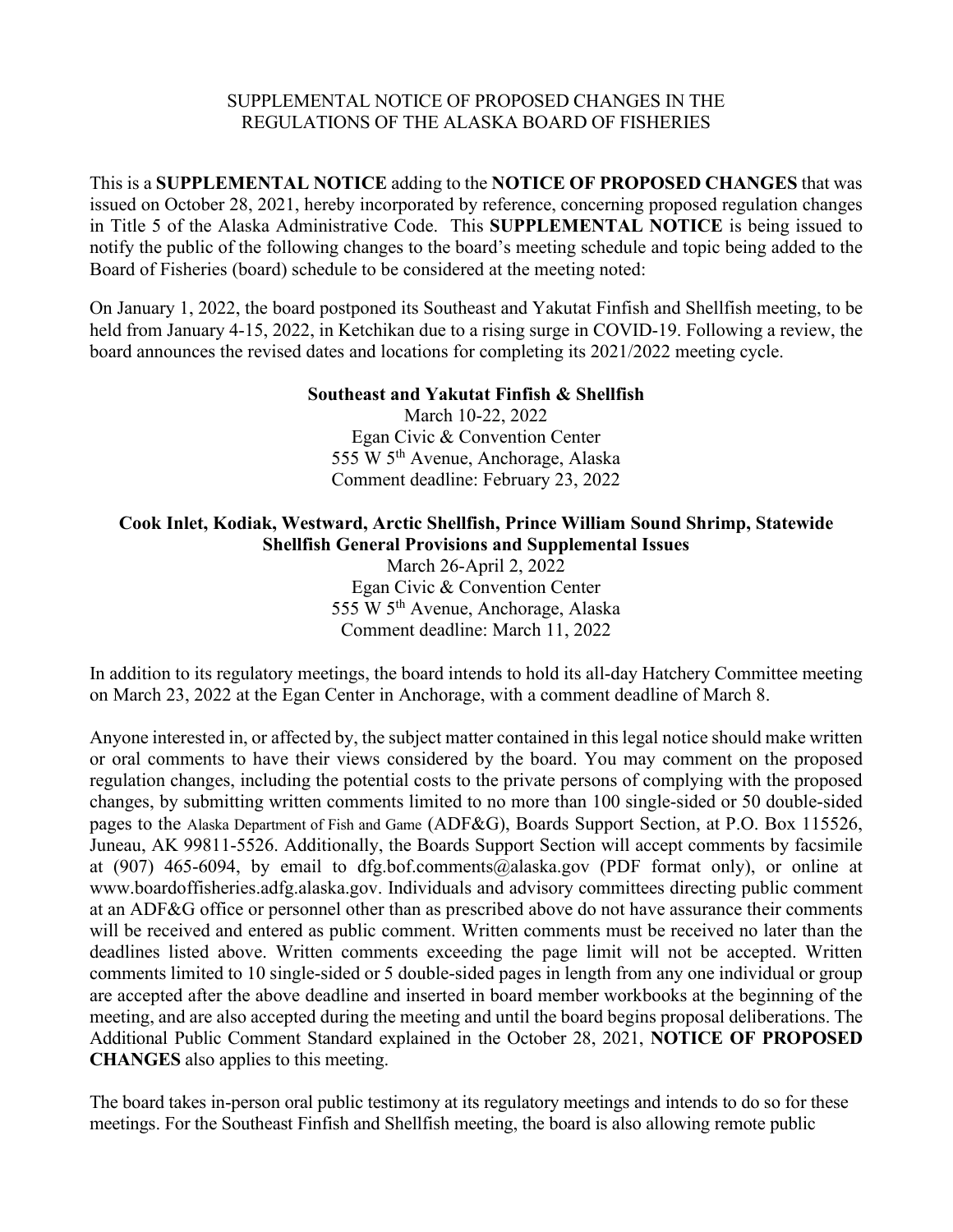#### SUPPLEMENTAL NOTICE OF PROPOSED CHANGES IN THE REGULATIONS OF THE ALASKA BOARD OF FISHERIES

This is a **SUPPLEMENTAL NOTICE** adding to the **NOTICE OF PROPOSED CHANGES** that was issued on October 28, 2021, hereby incorporated by reference, concerning proposed regulation changes in Title 5 of the Alaska Administrative Code. This **SUPPLEMENTAL NOTICE** is being issued to notify the public of the following changes to the board's meeting schedule and topic being added to the Board of Fisheries (board) schedule to be considered at the meeting noted:

On January 1, 2022, the board postponed its Southeast and Yakutat Finfish and Shellfish meeting, to be held from January 4-15, 2022, in Ketchikan due to a rising surge in COVID-19. Following a review, the board announces the revised dates and locations for completing its 2021/2022 meeting cycle.

### **Southeast and Yakutat Finfish & Shellfish**

March 10-22, 2022 Egan Civic & Convention Center 555 W 5th Avenue, Anchorage, Alaska Comment deadline: February 23, 2022

# **Cook Inlet, Kodiak, Westward, Arctic Shellfish, Prince William Sound Shrimp, Statewide Shellfish General Provisions and Supplemental Issues**

March 26-April 2, 2022 Egan Civic & Convention Center 555 W 5th Avenue, Anchorage, Alaska Comment deadline: March 11, 2022

In addition to its regulatory meetings, the board intends to hold its all-day Hatchery Committee meeting on March 23, 2022 at the Egan Center in Anchorage, with a comment deadline of March 8.

Anyone interested in, or affected by, the subject matter contained in this legal notice should make written or oral comments to have their views considered by the board. You may comment on the proposed regulation changes, including the potential costs to the private persons of complying with the proposed changes, by submitting written comments limited to no more than 100 single-sided or 50 double-sided pages to the Alaska Department of Fish and Game (ADF&G), Boards Support Section, at P.O. Box 115526, Juneau, AK 99811-5526. Additionally, the Boards Support Section will accept comments by facsimile at (907) 465-6094, by email to dfg.bof.comments@alaska.gov (PDF format only), or online at www.boardoffisheries.adfg.alaska.gov. Individuals and advisory committees directing public comment at an ADF&G office or personnel other than as prescribed above do not have assurance their comments will be received and entered as public comment. Written comments must be received no later than the deadlines listed above. Written comments exceeding the page limit will not be accepted. Written comments limited to 10 single-sided or 5 double-sided pages in length from any one individual or group are accepted after the above deadline and inserted in board member workbooks at the beginning of the meeting, and are also accepted during the meeting and until the board begins proposal deliberations. The Additional Public Comment Standard explained in the October 28, 2021, **NOTICE OF PROPOSED CHANGES** also applies to this meeting.

The board takes in-person oral public testimony at its regulatory meetings and intends to do so for these meetings. For the Southeast Finfish and Shellfish meeting, the board is also allowing remote public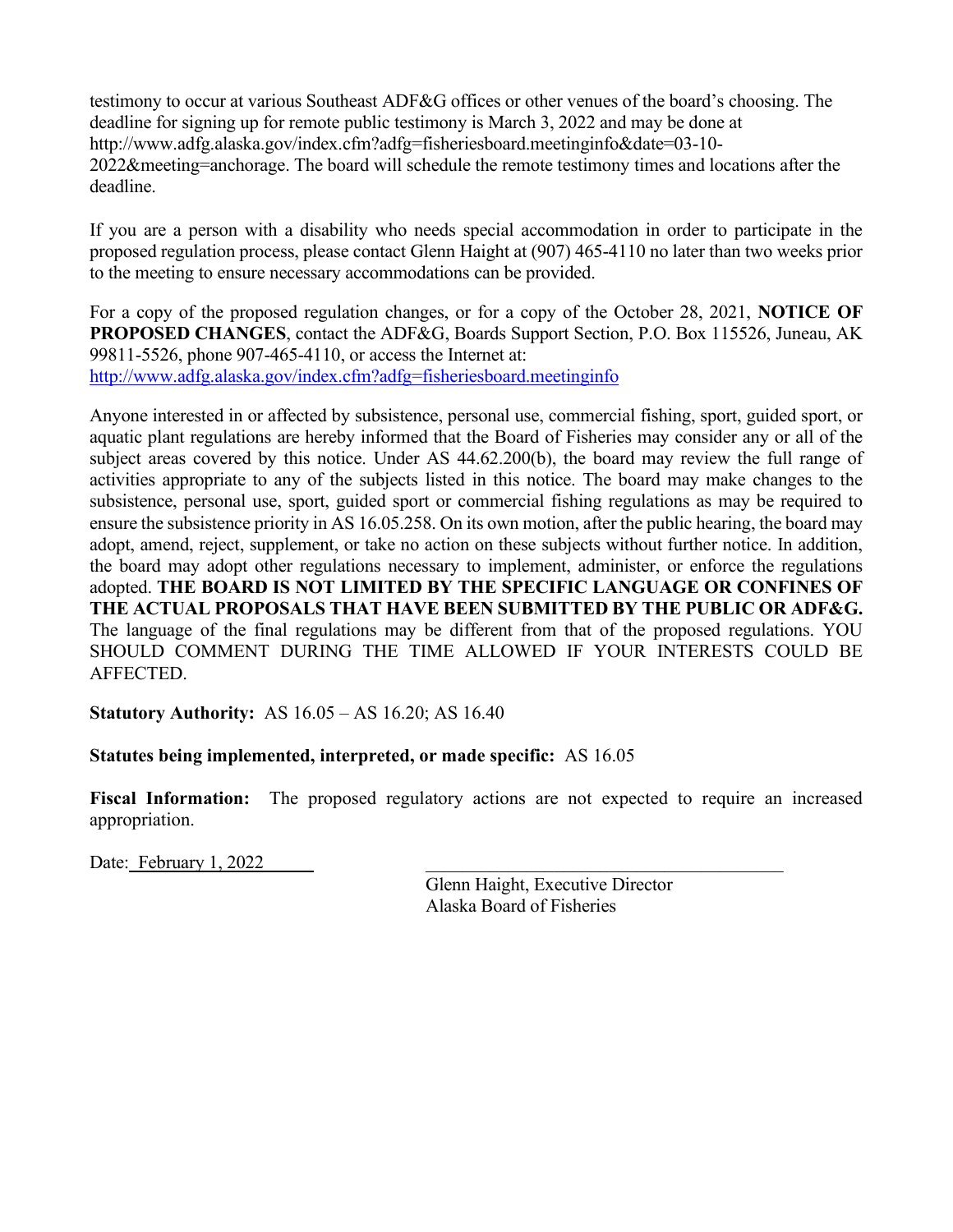testimony to occur at various Southeast ADF&G offices or other venues of the board's choosing. The deadline for signing up for remote public testimony is March 3, 2022 and may be done at http://www.adfg.alaska.gov/index.cfm?adfg=fisheriesboard.meetinginfo&date=03-10- 2022&meeting=anchorage. The board will schedule the remote testimony times and locations after the deadline.

If you are a person with a disability who needs special accommodation in order to participate in the proposed regulation process, please contact Glenn Haight at (907) 465-4110 no later than two weeks prior to the meeting to ensure necessary accommodations can be provided.

For a copy of the proposed regulation changes, or for a copy of the October 28, 2021, **NOTICE OF PROPOSED CHANGES**, contact the ADF&G, Boards Support Section, P.O. Box 115526, Juneau, AK 99811-5526, phone 907-465-4110, or access the Internet at: <http://www.adfg.alaska.gov/index.cfm?adfg=fisheriesboard.meetinginfo>

Anyone interested in or affected by subsistence, personal use, commercial fishing, sport, guided sport, or aquatic plant regulations are hereby informed that the Board of Fisheries may consider any or all of the subject areas covered by this notice. Under AS 44.62.200(b), the board may review the full range of activities appropriate to any of the subjects listed in this notice. The board may make changes to the subsistence, personal use, sport, guided sport or commercial fishing regulations as may be required to ensure the subsistence priority in AS 16.05.258. On its own motion, after the public hearing, the board may adopt, amend, reject, supplement, or take no action on these subjects without further notice. In addition, the board may adopt other regulations necessary to implement, administer, or enforce the regulations adopted. **THE BOARD IS NOT LIMITED BY THE SPECIFIC LANGUAGE OR CONFINES OF THE ACTUAL PROPOSALS THAT HAVE BEEN SUBMITTED BY THE PUBLIC OR ADF&G.** The language of the final regulations may be different from that of the proposed regulations. YOU SHOULD COMMENT DURING THE TIME ALLOWED IF YOUR INTERESTS COULD BE AFFECTED.

**Statutory Authority:** AS 16.05 – AS 16.20; AS 16.40

## **Statutes being implemented, interpreted, or made specific:** AS 16.05

**Fiscal Information:** The proposed regulatory actions are not expected to require an increased appropriation.

Date: February 1, 2022

Glenn Haight, Executive Director Alaska Board of Fisheries